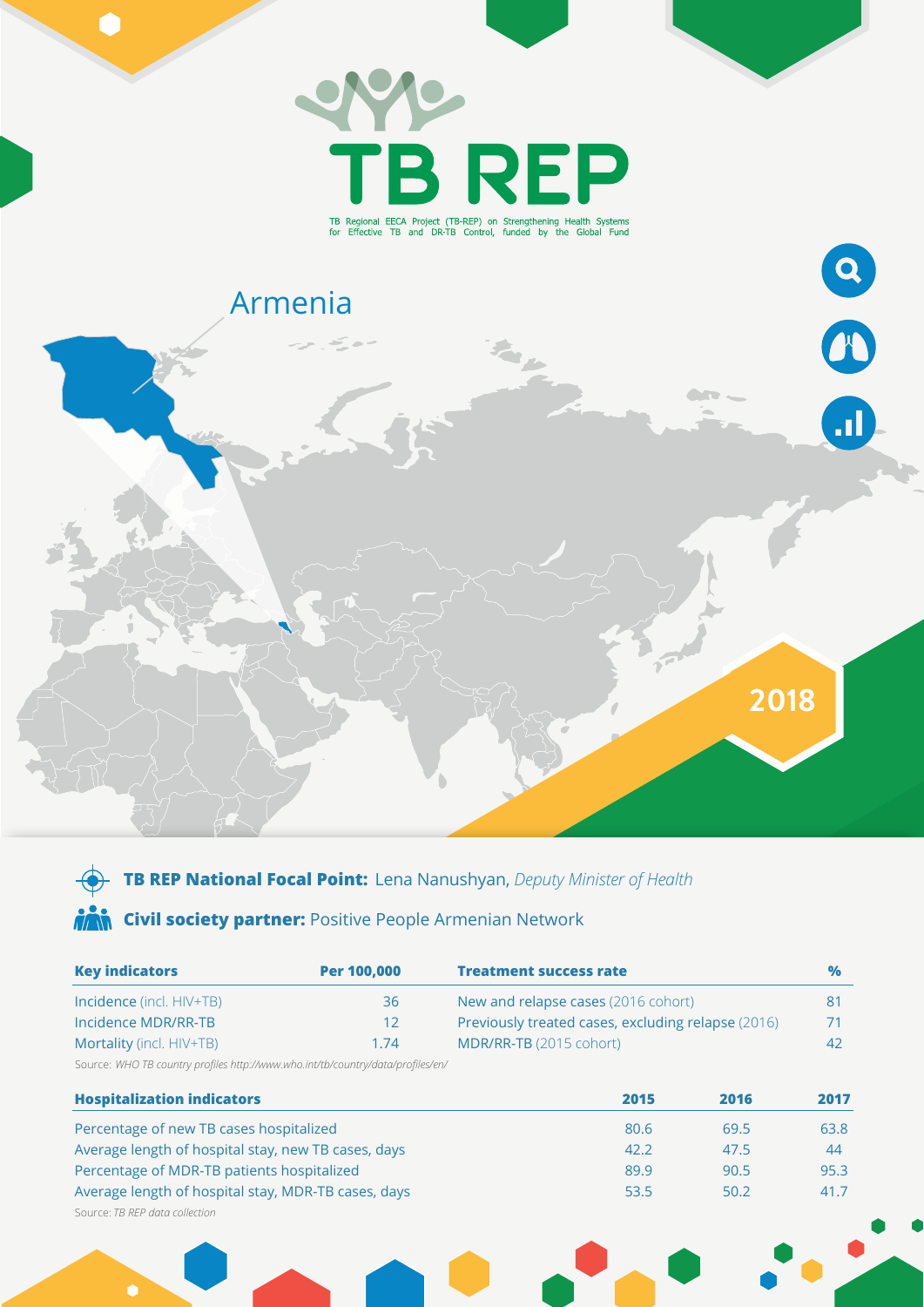

# **TB REP National Focal Point:** Lena Nanushyan, *Deputy Minister of Health* **AM Civil society partner:** Positive People Armenian Network

| <b>Key indicators</b>           | Per 100,000     | <b>Treatment success rate</b>                      | $\frac{9}{6}$ |
|---------------------------------|-----------------|----------------------------------------------------|---------------|
| <b>Incidence</b> (incl. HIV+TB) | 36              | New and relapse cases (2016 cohort)                |               |
| Incidence MDR/RR-TB             | 12 <sup>°</sup> | Previously treated cases, excluding relapse (2016) | 71.           |
| Mortality (incl. HIV+TB)        | 1.74            | MDR/RR-TB (2015 cohort)                            | 42            |

Source: *WHO TB country profiles http://www.who.int/tb/country/data/profiles/en/*

| <b>Hospitalization indicators</b>                   | 2015 | 2016 | 2017 |
|-----------------------------------------------------|------|------|------|
| Percentage of new TB cases hospitalized             | 80.6 | 69.5 | 63.8 |
| Average length of hospital stay, new TB cases, days | 42.2 | 47.5 | 44   |
| Percentage of MDR-TB patients hospitalized          | 89.9 | 90.5 | 95.3 |
| Average length of hospital stay, MDR-TB cases, days | 53.5 | 50.2 | 41.7 |
| Source: TB REP data collection                      |      |      |      |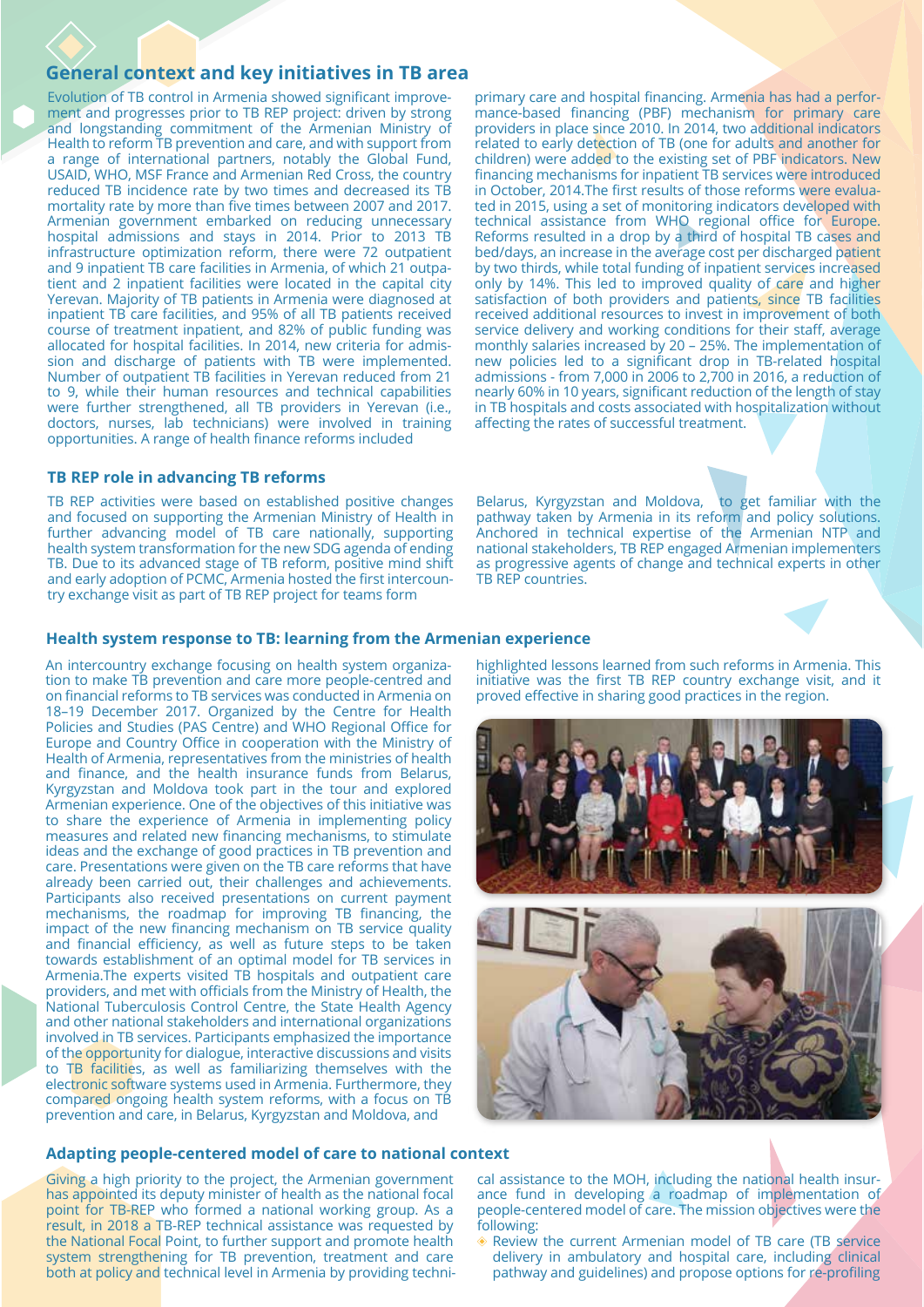# **General context and key initiatives in TB area**

Evolution of TB control in Armenia showed significant improvement and progresses prior to TB REP project: driven by strong and longstanding commitment of the Armenian Ministry of Health to reform TB prevention and care, and with support from a range of international partners, notably the Global Fund, USAID, WHO, MSF France and Armenian Red Cross, the country reduced TB incidence rate by two times and decreased its TB mortality rate by more than five times between 2007 and 2017. Armenian government embarked on reducing unnecessary hospital admissions and stays in 2014. Prior to 2013 TB infrastructure optimization reform, there were 72 outpatient and 9 inpatient TB care facilities in Armenia, of which 21 outpatient and 2 inpatient facilities were located in the capital city Yerevan. Majority of TB patients in Armenia were diagnosed at inpatient TB care facilities, and 95% of all TB patients received course of treatment inpatient, and 82% of public funding was allocated for hospital facilities. In 2014, new criteria for admission and discharge of patients with TB were implemented. Number of outpatient TB facilities in Yerevan reduced from 21 to 9, while their human resources and technical capabilities were further strengthened, all TB providers in Yerevan (i.e., doctors, nurses, lab technicians) were involved in training opportunities. A range of health finance reforms included

### **TB REP role in advancing TB reforms**

TB REP activities were based on established positive changes and focused on supporting the Armenian Ministry of Health in further advancing model of TB care nationally, supporting health system transformation for the new SDG agenda of ending TB. Due to its advanced stage of TB reform, positive mind shift and early adoption of PCMC, Armenia hosted the first intercountry exchange visit as part of TB REP project for teams form

primary care and hospital financing. Armenia has had a performance-based financing (PBF) mechanism for primary care providers in place since 2010. In 2014, two additional indicators related to early detection of TB (one for adults and another for children) were added to the existing set of PBF indicators. New financing mechanisms for inpatient TB services were introduced in October, 2014.The first results of those reforms were evaluated in 2015, using a set of monitoring indicators developed with technical assistance from WHO regional office for Europe. Reforms resulted in a drop by a third of hospital TB cases and bed/days, an increase in the average cost per discharged patient by two thirds, while total funding of inpatient services increased only by 14%. This led to improved quality of care and higher satisfaction of both providers and patients, since TB facilities received additional resources to invest in improvement of both service delivery and working conditions for their staff, average monthly salaries increased by 20 – 25%. The implementation of new policies led to a significant drop in TB-related hospital admissions - from 7,000 in 2006 to 2,700 in 2016, a reduction of nearly 60% in 10 years, significant reduction of the length of stay in TB hospitals and costs associated with hospitalization without affecting the rates of successful treatment.

Belarus, Kyrgyzstan and Moldova, to get familiar with the pathway taken by Armenia in its reform and policy solutions. Anchored in technical expertise of the Armenian NTP and national stakeholders, TB REP engaged Armenian implementers as progressive agents of change and technical experts in other TB REP countries.

### **Health system response to TB: learning from the Armenian experience**

An intercountry exchange focusing on health system organization to make TB prevention and care more people-centred and on financial reforms to TB services was conducted in Armenia on 18–19 December 2017. Organized by the Centre for Health Policies and Studies (PAS Centre) and WHO Regional Office for Europe and Country Office in cooperation with the Ministry of Health of Armenia, representatives from the ministries of health and finance, and the health insurance funds from Belarus, Kyrgyzstan and Moldova took part in the tour and explored Armenian experience. One of the objectives of this initiative was to share the experience of Armenia in implementing policy measures and related new financing mechanisms, to stimulate ideas and the exchange of good practices in TB prevention and care. Presentations were given on the TB care reforms that have already been carried out, their challenges and achievements. Participants also received presentations on current payment mechanisms, the roadmap for improving TB financing, the impact of the new financing mechanism on TB service quality and financial efficiency, as well as future steps to be taken towards establishment of an optimal model for TB services in Armenia.The experts visited TB hospitals and outpatient care providers, and met with officials from the Ministry of Health, the National Tuberculosis Control Centre, the State Health Agency and other national stakeholders and international organizations involved in TB services. Participants emphasized the importance of the opportunity for dialogue, interactive discussions and visits to TB facilities, as well as familiarizing themselves with the electronic software systems used in Armenia. Furthermore, they compared ongoing health system reforms, with a focus on TB prevention and care, in Belarus, Kyrgyzstan and Moldova, and

## **Adapting people-centered model of care to national context**

Giving a high priority to the project, the Armenian government has appointed its deputy minister of health as the national focal point for TB-REP who formed a national working group. As a result, in 2018 a TB-REP technical assistance was requested by the National Focal Point, to further support and promote health system strengthening for TB prevention, treatment and care both at policy and technical level in Armenia by providing techni-

highlighted lessons learned from such reforms in Armenia. This initiative was the first TB REP country exchange visit, and it proved effective in sharing good practices in the region.





cal assistance to the MOH, including the national health insurance fund in developing a roadmap of implementation of people-centered model of care. The mission objectives were the following:

Review the current Armenian model of TB care (TB service delivery in ambulatory and hospital care, including clinical pathway and guidelines) and propose options for re-profiling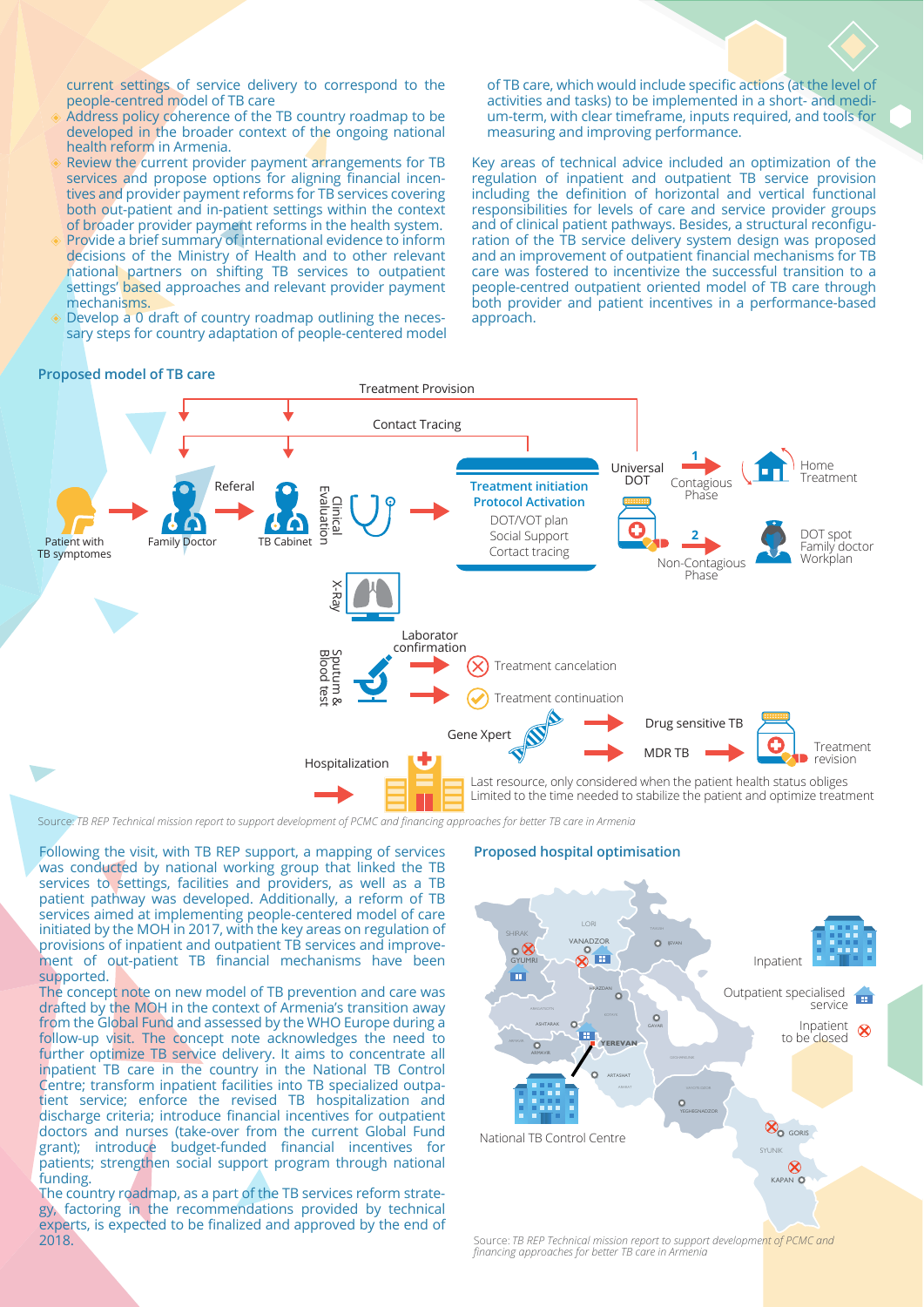current settings of service delivery to correspond to the people-centred model of TB care

- Address policy coherence of the TB country roadmap to be developed in the broader context of the ongoing national health reform in Armenia.
- Review the current provider payment arrangements for TB services and propose options for aligning financial incentives and provider payment reforms for TB services covering both out-patient and in-patient settings within the context of broader provider payment reforms in the health system.
- Provide a brief summary of international evidence to inform decisions of the Ministry of Health and to other relevant national partners on shifting TB services to outpatient settings' based approaches and relevant provider payment mechanisms.
- Develop a 0 draft of country roadmap outlining the necessary steps for country adaptation of people-centered model

of TB care, which would include specific actions (at the level of activities and tasks) to be implemented in a short- and medium-term, with clear timeframe, inputs required, and tools for measuring and improving performance.

Key areas of technical advice included an optimization of the regulation of inpatient and outpatient TB service provision including the definition of horizontal and vertical functional responsibilities for levels of care and service provider groups and of clinical patient pathways. Besides, a structural reconfiguration of the TB service delivery system design was proposed and an improvement of outpatient financial mechanisms for TB care was fostered to incentivize the successful transition to a people-centred outpatient oriented model of TB care through both provider and patient incentives in a performance-based approach.

### **Proposed model of TB care**



Source: *TB REP Technical mission report to support development of PCMC and financing approaches for better TB care in Armenia*

Following the visit, with TB REP support, a mapping of services was conducted by national working group that linked the TB services to settings, facilities and providers, as well as a TB patient pathway was developed. Additionally, a reform of TB services aimed at implementing people-centered model of care initiated by the MOH in 2017, with the key areas on regulation of provisions of inpatient and outpatient TB services and improvement of out-patient TB financial mechanisms have been supported.

The concept note on new model of TB prevention and care was drafted by the MOH in the context of Armenia's transition away from the Global Fund and assessed by the WHO Europe during a follow-up visit. The concept note acknowledges the need to further optimize TB service delivery. It aims to concentrate all inpatient TB care in the country in the National TB Control Centre; transform inpatient facilities into TB specialized outpatient service; enforce the revised TB hospitalization and discharge criteria; introduce financial incentives for outpatient doctors and nurses (take-over from the current Global Fund grant); introduce budget-funded financial incentives for patients; strengthen social support program through national funding.

The country roadmap, as a part of the TB services reform strategy, factoring in the recommendations provided by technical experts, is expected to be finalized and approved by the end of 2018.

#### **Proposed hospital optimisation**



*financing approaches for better TB care in Armenia*